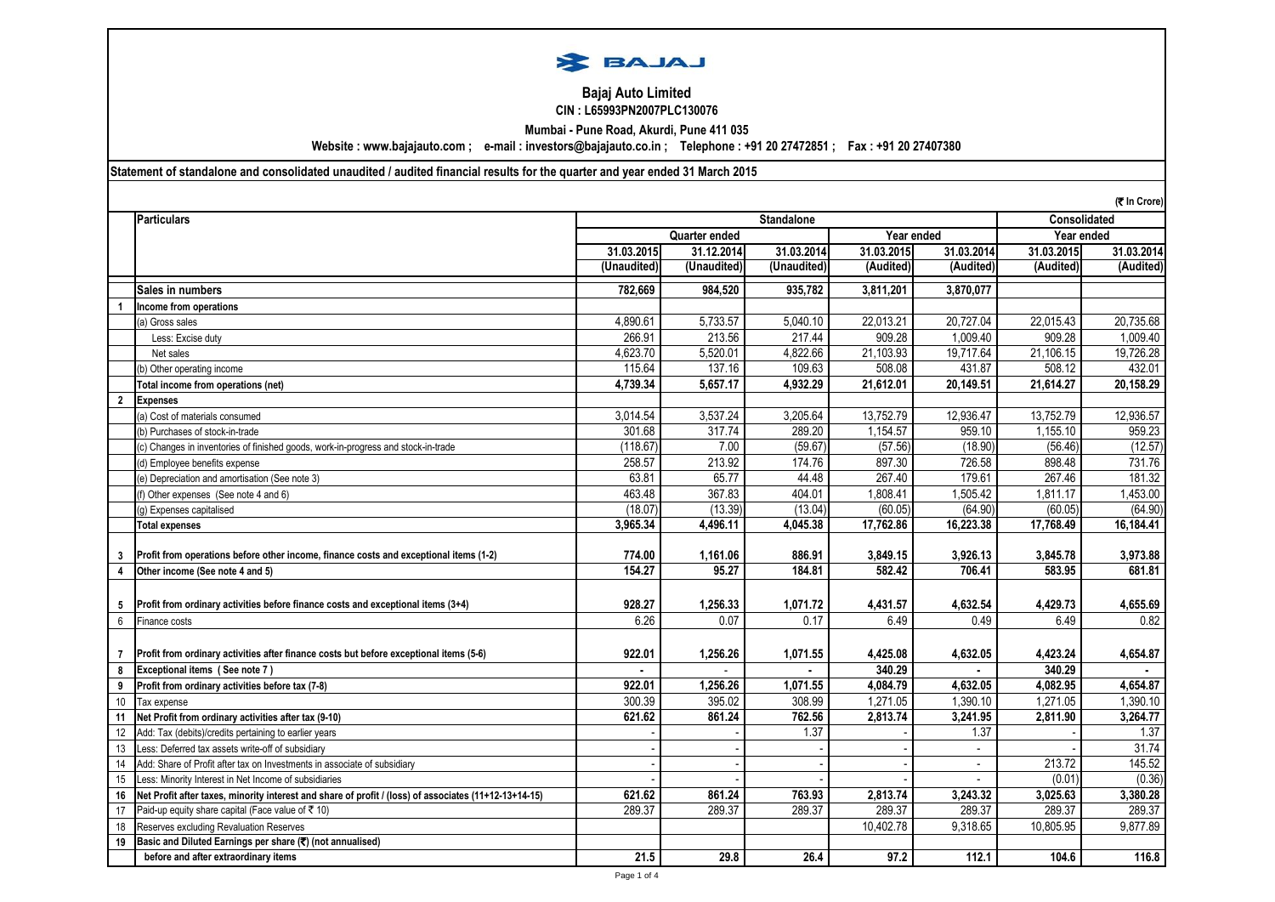

## **Bajaj Auto Limited CIN : L65993PN2007PLC130076**

**Mumbai - Pune Road, Akurdi, Pune 411 035**

**Website : www.bajajauto.com ; e-mail : investors@bajajauto.co.in ; Telephone : +91 20 27472851 ; Fax : +91 20 27407380**

**Statement of standalone and consolidated unaudited / audited financial results for the quarter and year ended 31 March 2015**

|                |                                                                                                       |             |                             |                     |            |                |            | (₹ In Crore) |
|----------------|-------------------------------------------------------------------------------------------------------|-------------|-----------------------------|---------------------|------------|----------------|------------|--------------|
|                | <b>Particulars</b>                                                                                    |             |                             | <b>Consolidated</b> |            |                |            |              |
|                |                                                                                                       |             | Quarter ended<br>Year ended |                     |            |                | Year ended |              |
|                |                                                                                                       | 31.03.2015  | 31.12.2014                  | 31.03.2014          | 31.03.2015 | 31.03.2014     | 31.03.2015 | 31.03.2014   |
|                |                                                                                                       | (Unaudited) | (Unaudited)                 | (Unaudited)         | (Audited)  | (Audited)      | (Audited)  | (Audited)    |
|                | Sales in numbers                                                                                      | 782.669     | 984.520                     | 935,782             | 3.811.201  | 3.870.077      |            |              |
| $\mathbf{1}$   | Income from operations                                                                                |             |                             |                     |            |                |            |              |
|                | a) Gross sales                                                                                        | 4,890.61    | 5,733.57                    | 5,040.10            | 22,013.21  | 20,727.04      | 22,015.43  | 20,735.68    |
|                | Less: Excise duty                                                                                     | 266.91      | 213.56                      | 217.44              | 909.28     | 1,009.40       | 909.28     | 1.009.40     |
|                | Net sales                                                                                             | 4,623.70    | 5,520.01                    | 4,822.66            | 21,103.93  | 19,717.64      | 21,106.15  | 19,726.28    |
|                | b) Other operating income                                                                             | 115.64      | 137.16                      | 109.63              | 508.08     | 431.87         | 508.12     | 432.01       |
|                | Total income from operations (net)                                                                    | 4.739.34    | 5,657.17                    | 4,932.29            | 21,612.01  | 20,149.51      | 21,614.27  | 20,158.29    |
| $\overline{2}$ | <b>Expenses</b>                                                                                       |             |                             |                     |            |                |            |              |
|                | (a) Cost of materials consumed                                                                        | 3,014.54    | 3,537.24                    | 3,205.64            | 13,752.79  | 12,936.47      | 13,752.79  | 12,936.57    |
|                | b) Purchases of stock-in-trade                                                                        | 301.68      | 317.74                      | 289.20              | 1,154.57   | 959.10         | 1,155.10   | 959.23       |
|                | (c) Changes in inventories of finished goods, work-in-progress and stock-in-trade                     | (118.67)    | 7.00                        | (59.67)             | (57.56)    | (18.90)        | (56.46)    | (12.57)      |
|                | (d) Employee benefits expense                                                                         | 258.57      | 213.92                      | 174.76              | 897.30     | 726.58         | 898.48     | 731.76       |
|                | (e) Depreciation and amortisation (See note 3)                                                        | 63.81       | 65.77                       | 44.48               | 267.40     | 179.61         | 267.46     | 181.32       |
|                | (f) Other expenses (See note 4 and 6)                                                                 | 463.48      | 367.83                      | 404.01              | 1,808.41   | 1,505.42       | 1,811.17   | 1,453.00     |
|                | (g) Expenses capitalised                                                                              | (18.07)     | (13.39)                     | (13.04)             | (60.05)    | (64.90)        | (60.05)    | (64.90)      |
|                | <b>Total expenses</b>                                                                                 | 3,965.34    | 4,496.11                    | 4,045.38            | 17,762.86  | 16,223.38      | 17,768.49  | 16,184.41    |
|                |                                                                                                       |             |                             |                     |            |                |            |              |
| 3              | Profit from operations before other income, finance costs and exceptional items (1-2)                 | 774.00      | 1,161.06                    | 886.91              | 3,849.15   | 3,926.13       | 3,845.78   | 3,973.88     |
| 4              | Other income (See note 4 and 5)                                                                       | 154.27      | 95.27                       | 184.81              | 582.42     | 706.41         | 583.95     | 681.81       |
|                |                                                                                                       |             |                             |                     |            |                |            |              |
| 5              | Profit from ordinary activities before finance costs and exceptional items (3+4)                      | 928.27      | 1,256.33                    | 1,071.72            | 4,431.57   | 4,632.54       | 4,429.73   | 4,655.69     |
| $\,6\,$        | Finance costs                                                                                         | 6.26        | 0.07                        | 0.17                | 6.49       | 0.49           | 6.49       | 0.82         |
|                |                                                                                                       |             |                             |                     |            |                |            |              |
| $\overline{7}$ | Profit from ordinary activities after finance costs but before exceptional items (5-6)                | 922.01      | 1,256.26                    | 1,071.55            | 4,425.08   | 4,632.05       | 4,423.24   | 4,654.87     |
| 8              | Exceptional items (See note 7)                                                                        |             |                             |                     | 340.29     |                | 340.29     |              |
| 9              | Profit from ordinary activities before tax (7-8)                                                      | 922.01      | 1,256.26                    | 1,071.55            | 4,084.79   | 4,632.05       | 4,082.95   | 4,654.87     |
| 10             | Tax expense                                                                                           | 300.39      | 395.02                      | 308.99              | 1,271.05   | 1,390.10       | 1,271.05   | 1,390.10     |
| 11             | Net Profit from ordinary activities after tax (9-10)                                                  | 621.62      | 861.24                      | 762.56              | 2,813.74   | 3,241.95       | 2,811.90   | 3,264.77     |
| 12             | Add: Tax (debits)/credits pertaining to earlier years                                                 |             |                             | 1.37                |            | 1.37           |            | 1.37         |
| 13             | Less: Deferred tax assets write-off of subsidiary                                                     |             |                             |                     |            | $\mathbb{Z}^2$ |            | 31.74        |
| 14             | Add: Share of Profit after tax on Investments in associate of subsidiary                              |             |                             |                     |            |                | 213.72     | 145.52       |
| 15             | Less: Minority Interest in Net Income of subsidiaries                                                 |             |                             |                     |            |                | (0.01)     | (0.36)       |
| 16             | Net Profit after taxes, minority interest and share of profit / (loss) of associates (11+12-13+14-15) | 621.62      | 861.24                      | 763.93              | 2,813.74   | 3,243.32       | 3,025.63   | 3,380.28     |
| 17             | Paid-up equity share capital (Face value of ₹ 10)                                                     | 289.37      | 289.37                      | 289.37              | 289.37     | 289.37         | 289.37     | 289.37       |
| 18             | Reserves excluding Revaluation Reserves                                                               |             |                             |                     | 10,402.78  | 9,318.65       | 10,805.95  | 9,877.89     |
| 19             | Basic and Diluted Earnings per share (₹) (not annualised)                                             |             |                             |                     |            |                |            |              |
|                | before and after extraordinary items                                                                  | 21.5        | 29.8                        | 26.4                | 97.2       | 112.1          | 104.6      | 116.8        |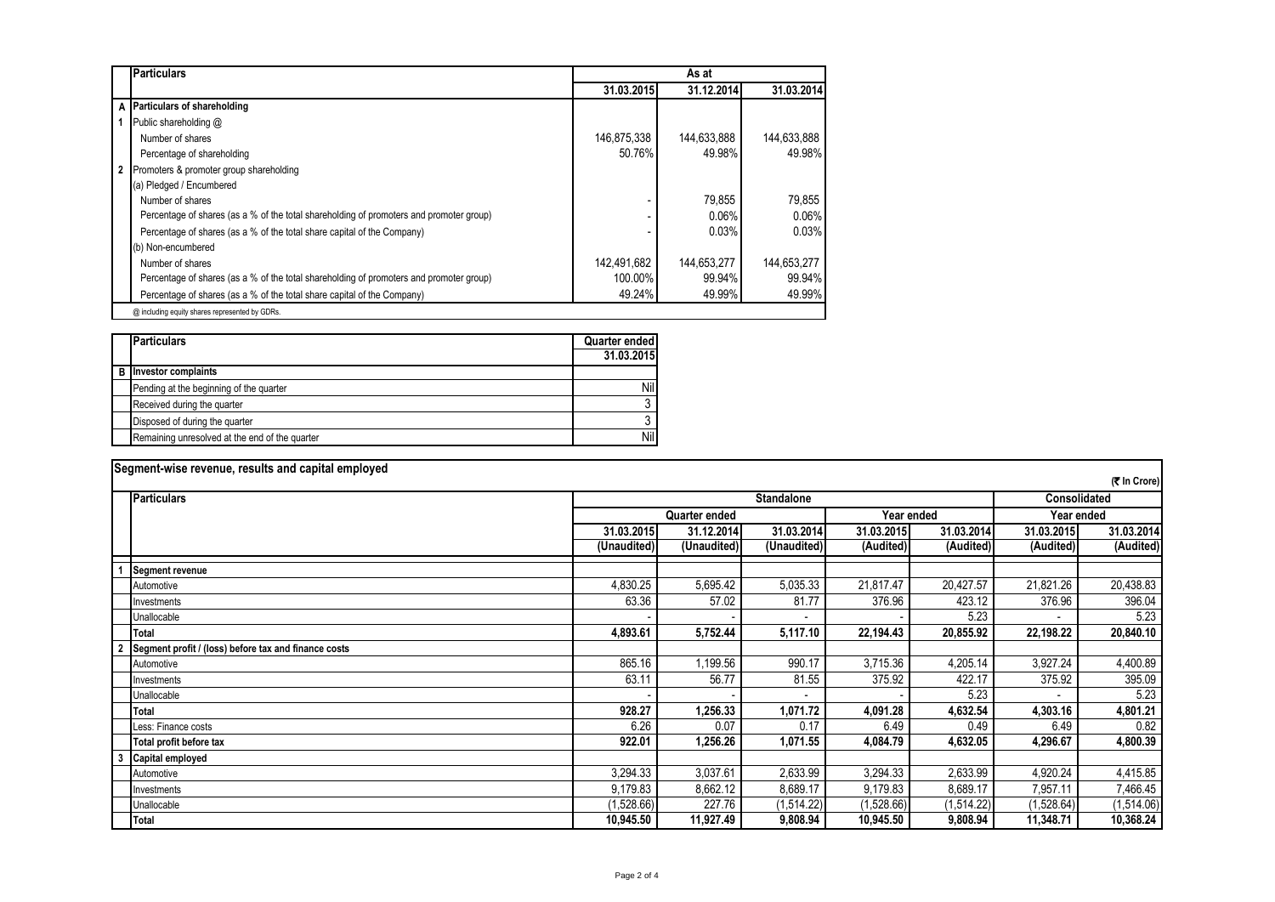|              | <b>Particulars</b>                                                                      | As at       |             |             |  |  |  |  |  |
|--------------|-----------------------------------------------------------------------------------------|-------------|-------------|-------------|--|--|--|--|--|
|              |                                                                                         | 31.03.2015  | 31.12.2014  | 31.03.2014  |  |  |  |  |  |
|              | A Particulars of shareholding                                                           |             |             |             |  |  |  |  |  |
|              | Public shareholding @                                                                   |             |             |             |  |  |  |  |  |
|              | Number of shares                                                                        | 146,875,338 | 144,633,888 | 144,633,888 |  |  |  |  |  |
|              | Percentage of shareholding                                                              | 50.76%      | 49.98%      | 49.98%      |  |  |  |  |  |
| $\mathbf{2}$ | Promoters & promoter group shareholding                                                 |             |             |             |  |  |  |  |  |
|              | (a) Pledged / Encumbered                                                                |             |             |             |  |  |  |  |  |
|              | Number of shares                                                                        |             | 79,855      | 79.855      |  |  |  |  |  |
|              | Percentage of shares (as a % of the total shareholding of promoters and promoter group) |             | 0.06%       | 0.06%       |  |  |  |  |  |
|              | Percentage of shares (as a % of the total share capital of the Company)                 |             | 0.03%       | 0.03%       |  |  |  |  |  |
|              | (b) Non-encumbered                                                                      |             |             |             |  |  |  |  |  |
|              | Number of shares                                                                        | 142.491.682 | 144,653,277 | 144.653.277 |  |  |  |  |  |
|              | Percentage of shares (as a % of the total shareholding of promoters and promoter group) | 100.00%     | 99.94%      | 99.94%      |  |  |  |  |  |
|              | Percentage of shares (as a % of the total share capital of the Company)                 | 49.24%      | 49.99%      | 49.99%      |  |  |  |  |  |
|              | @ including equity shares represented by GDRs.                                          |             |             |             |  |  |  |  |  |

|   | <b>Particulars</b>                             | <b>Quarter ended</b> |
|---|------------------------------------------------|----------------------|
|   |                                                | 31.03.2015           |
| в | <b>Investor complaints</b>                     |                      |
|   | Pending at the beginning of the quarter        | Nil                  |
|   | Received during the quarter                    |                      |
|   | Disposed of during the quarter                 |                      |
|   | Remaining unresolved at the end of the quarter | Nil                  |

|   | Segment-wise revenue, results and capital employed   |             |               |                   |            |            |                     |              |  |
|---|------------------------------------------------------|-------------|---------------|-------------------|------------|------------|---------------------|--------------|--|
|   |                                                      |             |               |                   |            |            |                     | (そ In Crore) |  |
|   | <b>Particulars</b>                                   |             |               | <b>Standalone</b> |            |            | <b>Consolidated</b> |              |  |
|   |                                                      |             | Quarter ended |                   |            | Year ended |                     | Year ended   |  |
|   |                                                      | 31.03.2015  | 31.12.2014    | 31.03.2014        | 31.03.2015 | 31.03.2014 | 31.03.2015          | 31.03.2014   |  |
|   |                                                      | (Unaudited) | (Unaudited)   | (Unaudited)       | (Audited)  | (Audited)  | (Audited)           | (Audited)    |  |
|   | <b>Segment revenue</b>                               |             |               |                   |            |            |                     |              |  |
|   | Automotive                                           | 4,830.25    | 5,695.42      | 5,035.33          | 21,817.47  | 20,427.57  | 21,821.26           | 20,438.83    |  |
|   | nvestments                                           | 63.36       | 57.02         | 81.77             | 376.96     | 423.12     | 376.96              | 396.04       |  |
|   | Unallocable                                          |             |               |                   |            | 5.23       |                     | 5.23         |  |
|   | Total                                                | 4,893.61    | 5,752.44      | 5,117.10          | 22,194.43  | 20,855.92  | 22,198.22           | 20,840.10    |  |
|   | Segment profit / (loss) before tax and finance costs |             |               |                   |            |            |                     |              |  |
|   | Automotive                                           | 865.16      | 1,199.56      | 990.17            | 3,715.36   | 4,205.14   | 3,927.24            | 4,400.89     |  |
|   | Investments                                          | 63.11       | 56.77         | 81.55             | 375.92     | 422.17     | 375.92              | 395.09       |  |
|   | Unallocable                                          |             |               |                   |            | 5.23       |                     | 5.23         |  |
|   | <b>Total</b>                                         | 928.27      | 1,256.33      | 1,071.72          | 4,091.28   | 4,632.54   | 4,303.16            | 4,801.21     |  |
|   | Less: Finance costs                                  | 6.26        | 0.07          | 0.17              | 6.49       | 0.49       | 6.49                | 0.82         |  |
|   | Total profit before tax                              | 922.01      | 1,256.26      | 1,071.55          | 4,084.79   | 4,632.05   | 4,296.67            | 4,800.39     |  |
| 3 | <b>Capital employed</b>                              |             |               |                   |            |            |                     |              |  |
|   | Automotive                                           | 3,294.33    | 3,037.61      | 2,633.99          | 3,294.33   | 2,633.99   | 4,920.24            | 4,415.85     |  |
|   | Investments                                          | 9,179.83    | 8,662.12      | 8,689.17          | 9,179.83   | 8,689.17   | 7,957.11            | 7,466.45     |  |
|   | Unallocable                                          | (1,528.66)  | 227.76        | (1,514.22)        | (1,528.66) | (1,514.22) | (1,528.64)          | (1,514.06)   |  |
|   | <b>Total</b>                                         | 10,945.50   | 11,927.49     | 9,808.94          | 10,945.50  | 9,808.94   | 11,348.71           | 10,368.24    |  |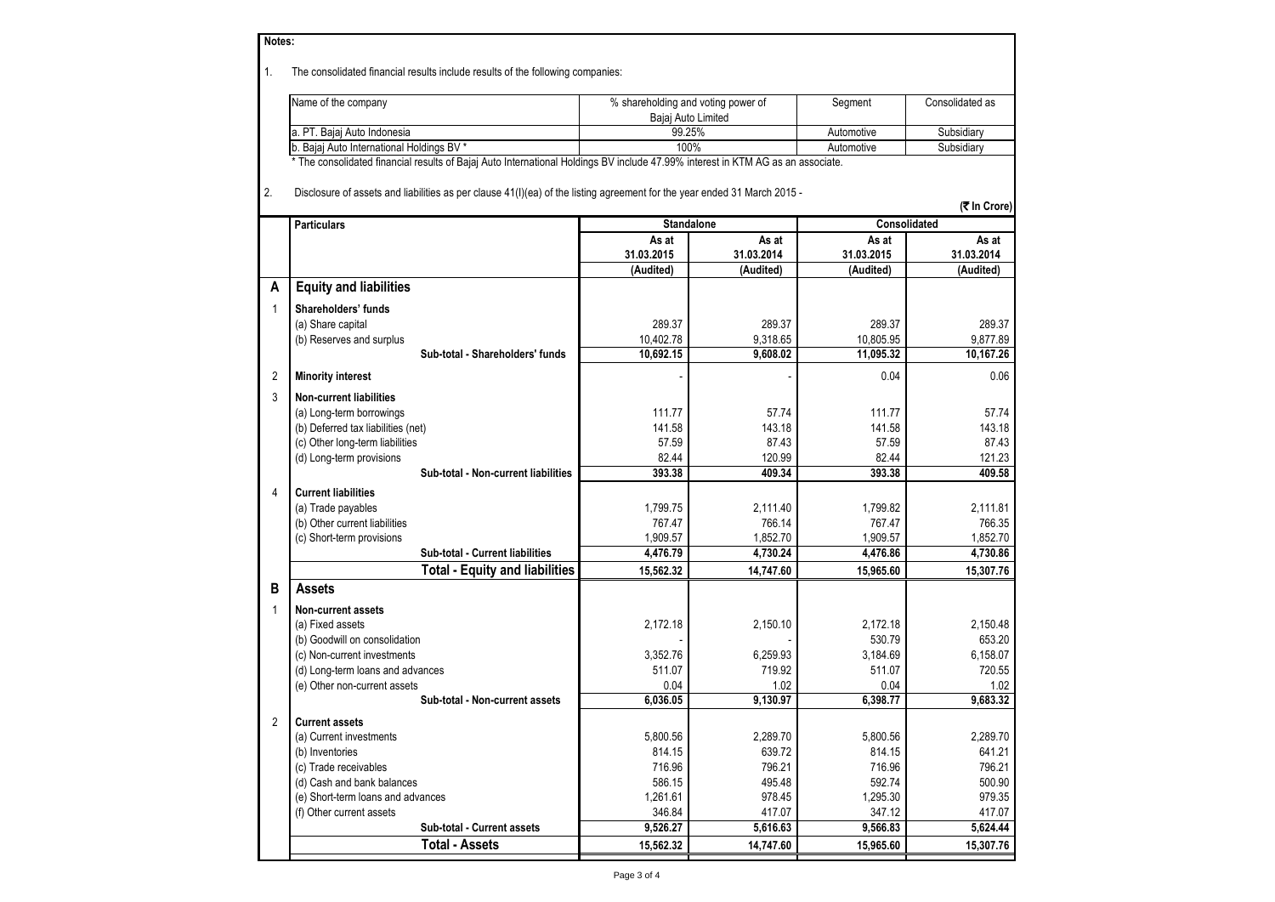|                | Notes:                                                                                                                          |                                    |                    |                    |                    |  |  |  |  |  |  |
|----------------|---------------------------------------------------------------------------------------------------------------------------------|------------------------------------|--------------------|--------------------|--------------------|--|--|--|--|--|--|
|                |                                                                                                                                 |                                    |                    |                    |                    |  |  |  |  |  |  |
| 1.             | The consolidated financial results include results of the following companies:                                                  |                                    |                    |                    |                    |  |  |  |  |  |  |
|                | Name of the company                                                                                                             |                                    |                    |                    | Consolidated as    |  |  |  |  |  |  |
|                |                                                                                                                                 | % shareholding and voting power of | Bajaj Auto Limited | Segment            |                    |  |  |  |  |  |  |
|                | a. PT. Bajaj Auto Indonesia                                                                                                     |                                    | 99.25%             | Automotive         | Subsidiary         |  |  |  |  |  |  |
|                | b. Bajaj Auto International Holdings BV *                                                                                       |                                    | 100%               | Automotive         | Subsidiary         |  |  |  |  |  |  |
|                | * The consolidated financial results of Bajaj Auto International Holdings BV include 47.99% interest in KTM AG as an associate. |                                    |                    |                    |                    |  |  |  |  |  |  |
|                |                                                                                                                                 |                                    |                    |                    |                    |  |  |  |  |  |  |
| 2.             | Disclosure of assets and liabilities as per clause 41(I)(ea) of the listing agreement for the year ended 31 March 2015 -        |                                    |                    |                    |                    |  |  |  |  |  |  |
|                | (₹ In Crore)                                                                                                                    |                                    |                    |                    |                    |  |  |  |  |  |  |
|                | <b>Particulars</b><br><b>Standalone</b><br>Consolidated                                                                         |                                    |                    |                    |                    |  |  |  |  |  |  |
|                |                                                                                                                                 | As at                              | As at              | As at              | As at              |  |  |  |  |  |  |
|                |                                                                                                                                 | 31.03.2015                         | 31.03.2014         | 31.03.2015         | 31.03.2014         |  |  |  |  |  |  |
|                |                                                                                                                                 | (Audited)                          | (Audited)          | (Audited)          | (Audited)          |  |  |  |  |  |  |
| А              | <b>Equity and liabilities</b>                                                                                                   |                                    |                    |                    |                    |  |  |  |  |  |  |
| 1              | Shareholders' funds                                                                                                             |                                    |                    |                    |                    |  |  |  |  |  |  |
|                | (a) Share capital                                                                                                               | 289.37                             | 289.37             | 289.37             | 289.37             |  |  |  |  |  |  |
|                | (b) Reserves and surplus                                                                                                        | 10,402.78                          | 9.318.65           | 10,805.95          | 9.877.89           |  |  |  |  |  |  |
|                | Sub-total - Shareholders' funds                                                                                                 | 10.692.15                          | 9,608.02           | 11,095.32          | 10,167.26          |  |  |  |  |  |  |
| $\overline{2}$ | <b>Minority interest</b>                                                                                                        |                                    |                    | 0.04               | 0.06               |  |  |  |  |  |  |
|                |                                                                                                                                 |                                    |                    |                    |                    |  |  |  |  |  |  |
| 3              | <b>Non-current liabilities</b>                                                                                                  |                                    |                    |                    |                    |  |  |  |  |  |  |
|                | (a) Long-term borrowings                                                                                                        | 111.77                             | 57.74              | 111.77             | 57.74              |  |  |  |  |  |  |
|                | (b) Deferred tax liabilities (net)                                                                                              | 141.58                             | 143.18<br>87.43    | 141.58<br>57.59    | 143.18<br>87.43    |  |  |  |  |  |  |
|                | (c) Other long-term liabilities                                                                                                 | 57.59<br>82.44                     | 120.99             | 82.44              | 121.23             |  |  |  |  |  |  |
|                | (d) Long-term provisions<br>Sub-total - Non-current liabilities                                                                 | 393.38                             | 409.34             | 393.38             | 409.58             |  |  |  |  |  |  |
|                |                                                                                                                                 |                                    |                    |                    |                    |  |  |  |  |  |  |
| 4              | <b>Current liabilities</b>                                                                                                      |                                    |                    |                    |                    |  |  |  |  |  |  |
|                | (a) Trade payables<br>(b) Other current liabilities                                                                             | 1,799.75<br>767.47                 | 2,111.40<br>766.14 | 1,799.82<br>767.47 | 2,111.81<br>766.35 |  |  |  |  |  |  |
|                | (c) Short-term provisions                                                                                                       | 1,909.57                           | 1,852.70           | 1,909.57           | 1,852.70           |  |  |  |  |  |  |
|                | Sub-total - Current liabilities                                                                                                 | 4,476.79                           | 4,730.24           | 4,476.86           | 4,730.86           |  |  |  |  |  |  |
|                | <b>Total - Equity and liabilities</b>                                                                                           | 15,562.32                          | 14,747.60          | 15,965.60          | 15,307.76          |  |  |  |  |  |  |
| в              | <b>Assets</b>                                                                                                                   |                                    |                    |                    |                    |  |  |  |  |  |  |
|                |                                                                                                                                 |                                    |                    |                    |                    |  |  |  |  |  |  |
| 1              | <b>Non-current assets</b>                                                                                                       |                                    |                    |                    |                    |  |  |  |  |  |  |
|                | (a) Fixed assets                                                                                                                | 2,172.18                           | 2,150.10           | 2.172.18           | 2.150.48           |  |  |  |  |  |  |
|                | (b) Goodwill on consolidation                                                                                                   |                                    |                    | 530.79             | 653.20             |  |  |  |  |  |  |
|                | (c) Non-current investments<br>(d) Long-term loans and advances                                                                 | 3.352.76<br>511.07                 | 6.259.93<br>719.92 | 3.184.69<br>511.07 | 6,158.07<br>720.55 |  |  |  |  |  |  |
|                | (e) Other non-current assets                                                                                                    | 0.04                               | 1.02               | 0.04               | 1.02               |  |  |  |  |  |  |
|                | Sub-total - Non-current assets                                                                                                  | 6,036.05                           | 9,130.97           | 6,398.77           | 9,683.32           |  |  |  |  |  |  |
|                |                                                                                                                                 |                                    |                    |                    |                    |  |  |  |  |  |  |
| $\overline{2}$ | <b>Current assets</b>                                                                                                           |                                    |                    |                    |                    |  |  |  |  |  |  |
|                | (a) Current investments                                                                                                         | 5,800.56                           | 2,289.70           | 5,800.56           | 2,289.70           |  |  |  |  |  |  |
|                | (b) Inventories                                                                                                                 | 814.15                             | 639.72             | 814.15             | 641.21             |  |  |  |  |  |  |
|                | (c) Trade receivables<br>(d) Cash and bank balances                                                                             | 716.96<br>586.15                   | 796.21<br>495.48   | 716.96<br>592.74   | 796.21<br>500.90   |  |  |  |  |  |  |
|                | (e) Short-term loans and advances                                                                                               | 1,261.61                           | 978.45             | 1,295.30           | 979.35             |  |  |  |  |  |  |
|                | (f) Other current assets                                                                                                        | 346.84                             | 417.07             | 347.12             | 417.07             |  |  |  |  |  |  |
|                | Sub-total - Current assets                                                                                                      | 9,526.27                           | 5,616.63           | 9,566.83           | 5,624.44           |  |  |  |  |  |  |
|                | <b>Total - Assets</b>                                                                                                           | 15,562.32                          | 14,747.60          | 15,965.60          | 15,307.76          |  |  |  |  |  |  |
|                |                                                                                                                                 |                                    |                    |                    |                    |  |  |  |  |  |  |